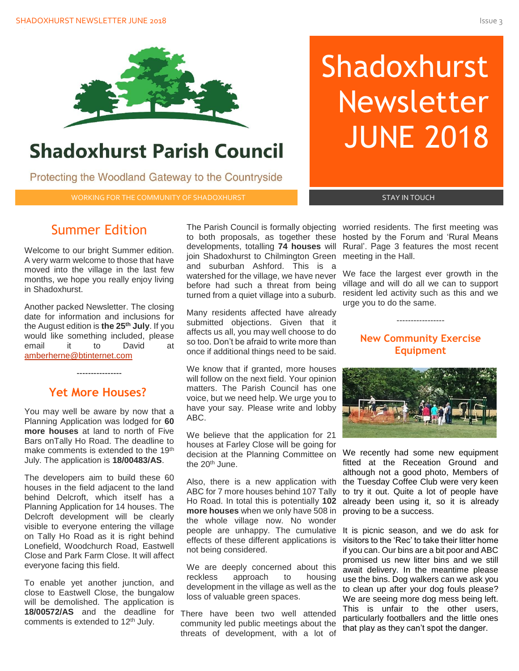

# **Shadoxhurst Parish Council**

Protecting the Woodland Gateway to the Countryside

WORKING FOR THE COMMUNITY OF SHADOXHURST AND RESERVED BY A STAY IN TOUCH

# Shadoxhurst Newsletter JUNE 2018

# Summer Edition

Welcome to our bright Summer edition. A very warm welcome to those that have moved into the village in the last few months, we hope you really enjoy living in Shadoxhurst.

Another packed Newsletter. The closing date for information and inclusions for the August edition is **the 25th July**. If you would like something included, please email it to David at [amberherne@btinternet.com](mailto:amberherne@btinternet.com)

# **Yet More Houses?**

----------------

You may well be aware by now that a Planning Application was lodged for **60 more houses** at land to north of Five Bars onTally Ho Road. The deadline to make comments is extended to the 19<sup>th</sup> July. The application is **18/00483/AS**.

The developers aim to build these 60 houses in the field adjacent to the land behind Delcroft, which itself has a Planning Application for 14 houses. The Delcroft development will be clearly visible to everyone entering the village on Tally Ho Road as it is right behind Lonefield, Woodchurch Road, Eastwell Close and Park Farm Close. It will affect everyone facing this field.

To enable yet another junction, and close to Eastwell Close, the bungalow will be demolished. The application is **18/00572/AS** and the deadline for comments is extended to 12th July.

developments, totalling **74 houses** will join Shadoxhurst to Chilmington Green and suburban Ashford. This is a watershed for the village, we have never before had such a threat from being turned from a quiet village into a suburb.

Many residents affected have already submitted objections. Given that it affects us all, you may well choose to do so too. Don't be afraid to write more than once if additional things need to be said.

We know that if granted, more houses will follow on the next field. Your opinion matters. The Parish Council has one voice, but we need help. We urge you to have your say. Please write and lobby ABC.

We believe that the application for 21 houses at Farley Close will be going for decision at the Planning Committee on the 20th June.

ABC for 7 more houses behind 107 Tally **more houses** when we only have 508 in proving to be a success. the whole village now. No wonder people are unhappy. The cumulative It is picnic season, and we do ask for effects of these different applications is not being considered.

We are deeply concerned about this reckless approach to housing development in the village as well as the loss of valuable green spaces.

There have been two well attended community led public meetings about the threats of development, with a lot of

The Parish Council is formally objecting worried residents. The first meeting was to both proposals, as together these hosted by the Forum and 'Rural Means Rural'. Page 3 features the most recent meeting in the Hall.

> We face the largest ever growth in the village and will do all we can to support resident led activity such as this and we urge you to do the same.

# **New Community Exercise Equipment**

-----------------



Also, there is a new application with the Tuesday Coffee Club were very keen Ho Road. In total this is potentially **102** already been using it, so it is already We recently had some new equipment fitted at the Receation Ground and although not a good photo, Members of to try it out. Quite a lot of people have

> visitors to the 'Rec' to take their litter home if you can. Our bins are a bit poor and ABC promised us new litter bins and we still await delivery. In the meantime please use the bins. Dog walkers can we ask you to clean up after your dog fouls please? We are seeing more dog mess being left. This is unfair to the other users, particularly footballers and the little ones that play as they can't spot the danger.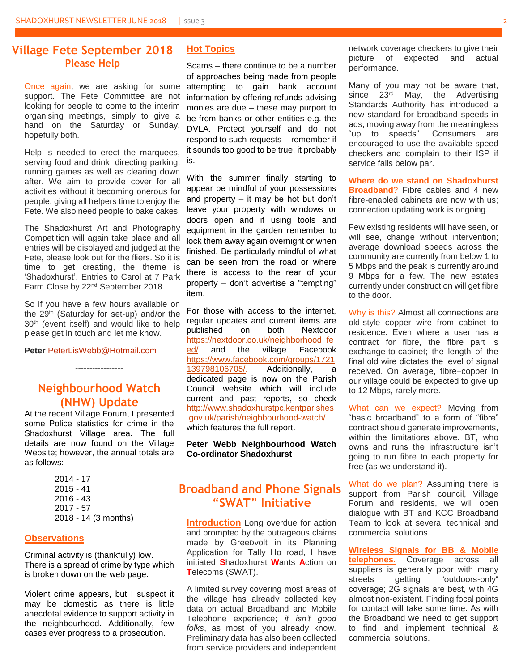#### **Village Fete September 2018 Please Help**

Once again, we are asking for some support. The Fete Committee are not looking for people to come to the interim organising meetings, simply to give a hand on the Saturday or Sunday, hopefully both.

Help is needed to erect the marquees, serving food and drink, directing parking, running games as well as clearing down after. We aim to provide cover for all activities without it becoming onerous for people, giving all helpers time to enjoy the Fete. We also need people to bake cakes.

The Shadoxhurst Art and Photography Competition will again take place and all entries will be displayed and judged at the Fete, please look out for the fliers. So it is time to get creating, the theme is 'Shadoxhurst'. Entries to Carol at 7 Park Farm Close by 22nd September 2018.

So if you have a few hours available on the 29th (Saturday for set-up) and/or the 30<sup>th</sup> (event itself) and would like to help please get in touch and let me know.

**Peter** [PeterLisWebb@Hotmail.com](mailto:PeterLisWebb@Hotmail.com)

# **Neighbourhood Watch (NHW) Update**

-----------------

At the recent Village Forum, I presented some Police statistics for crime in the Shadoxhurst Village area. The full details are now found on the Village Website; however, the annual totals are as follows:

| 2014 - 17            |
|----------------------|
| $2015 - 41$          |
| 2016 - 43            |
| 2017 - 57            |
| 2018 - 14 (3 months) |
|                      |

#### **Observations**

Criminal activity is (thankfully) low. There is a spread of crime by type which is broken down on the web page.

Violent crime appears, but I suspect it may be domestic as there is little anecdotal evidence to support activity in the neighbourhood. Additionally, few cases ever progress to a prosecution.

#### **Hot Topics**

Scams – there continue to be a number of approaches being made from people attempting to gain bank account information by offering refunds advising monies are due – these may purport to be from banks or other entities e.g. the DVLA. Protect yourself and do not respond to such requests – remember if it sounds too good to be true, it probably is.

With the summer finally starting to appear be mindful of your possessions and property – it may be hot but don't leave your property with windows or doors open and if using tools and equipment in the garden remember to lock them away again overnight or when finished. Be particularly mindful of what can be seen from the road or where there is access to the rear of your property – don't advertise a "tempting" item.

For those with access to the internet, regular updates and current items are published on both Nextdoor [https://nextdoor.co.uk/neighborhood\\_fe](https://nextdoor.co.uk/neighborhood_feed/) [ed/](https://nextdoor.co.uk/neighborhood_feed/) and the village Facebook [https://www.facebook.com/groups/1721](https://www.facebook.com/groups/1721139798106705/) [139798106705/.](https://www.facebook.com/groups/1721139798106705/) Additionally, a dedicated page is now on the Parish Council website which will include current and past reports, so check [http://www.shadoxhurstpc.kentparishes](http://www.shadoxhurstpc.kentparishes.gov.uk/parish/neighbourhood-watch/) [.gov.uk/parish/neighbourhood-watch/](http://www.shadoxhurstpc.kentparishes.gov.uk/parish/neighbourhood-watch/) which features the full report.

**Peter Webb Neighbourhood Watch Co-ordinator Shadoxhurst**

---------------------------

# **Broadband and Phone Signals "SWAT" Initiative**

**Introduction** Long overdue for action and prompted by the outrageous claims made by GreeDvolt in its Planning Application for Tally Ho road, I have initiated **S**hadoxhurst **W**ants **A**ction on **T**elecoms (SWAT).

A limited survey covering most areas of the village has already collected key data on actual Broadband and Mobile Telephone experience; *it isn't good folks*, as most of you already know. Preliminary data has also been collected from service providers and independent

network coverage checkers to give their picture of expected and actual performance.

Many of you may not be aware that, since 23<sup>rd</sup> May, the Advertising Standards Authority has introduced a new standard for broadband speeds in ads, moving away from the meaningless "up to speeds". Consumers are encouraged to use the available speed checkers and complain to their ISP if service falls below par.

**Where do we stand on Shadoxhurst Broadband**? Fibre cables and 4 new fibre-enabled cabinets are now with us; connection updating work is ongoing.

Few existing residents will have seen, or will see, change without intervention; average download speeds across the community are currently from below 1 to 5 Mbps and the peak is currently around 9 Mbps for a few. The new estates currently under construction will get fibre to the door.

Why is this? Almost all connections are old-style copper wire from cabinet to residence. Even where a user has a contract for fibre, the fibre part is exchange-to-cabinet; the length of the final old wire dictates the level of signal received. On average, fibre+copper in our village could be expected to give up to 12 Mbps, rarely more.

What can we expect? Moving from "basic broadband" to a form of "fibre" contract should generate improvements, within the limitations above. BT, who owns and runs the infrastructure isn't going to run fibre to each property for free (as we understand it).

What do we plan? Assuming there is support from Parish council, Village Forum and residents, we will open dialogue with BT and KCC Broadband Team to look at several technical and commercial solutions.

**Wireless Signals for BB & Mobile telephones**. Coverage across all suppliers is generally poor with many streets getting "outdoors-only" coverage; 2G signals are best, with 4G almost non-existent. Finding focal points for contact will take some time. As with the Broadband we need to get support to find and implement technical & commercial solutions.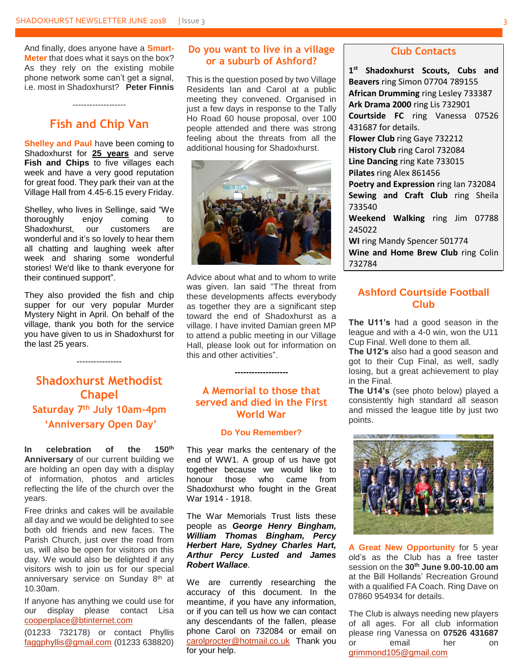And finally, does anyone have a **Smart-Meter** that does what it says on the box? As they rely on the existing mobile phone network some can't get a signal, i.e. most in Shadoxhurst? **Peter Finnis**

## **Fish and Chip Van**

-------------------

**Shelley and Paul** have been coming to Shadoxhurst for **25 years** and serve Fish and Chips to five villages each week and have a very good reputation for great food. They park their van at the Village Hall from 4.45-6.15 every Friday.

Shelley, who lives in Sellinge, said "We thoroughly enjoy coming to Shadoxhurst, our customers are wonderful and it's so lovely to hear them all chatting and laughing week after week and sharing some wonderful stories! We'd like to thank everyone for their continued support".

They also provided the fish and chip supper for our very popular Murder Mystery Night in April. On behalf of the village, thank you both for the service you have given to us in Shadoxhurst for the last 25 years.

----------------

# **Shadoxhurst Methodist Chapel Saturday 7th July 10am-4pm 'Anniversary Open Day'**

**In celebration of the 150th Anniversary** of our current building we are holding an open day with a display of information, photos and articles reflecting the life of the church over the years.

Free drinks and cakes will be available all day and we would be delighted to see both old friends and new faces. The Parish Church, just over the road from us, will also be open for visitors on this day. We would also be delighted if any visitors wish to join us for our special anniversary service on Sunday 8<sup>th</sup> at 10.30am.

If anyone has anything we could use for our display please contact Lisa [cooperplace@btinternet.com](mailto:cooperplace@btinternet.com)

(01233 732178) or contact Phyllis [faggphyllis@gmail.com](mailto:faggphyllis@gmail.com) (01233 638820)

#### **Do you want to live in a village or a suburb of Ashford?**

This is the question posed by two Village Residents Ian and Carol at a public meeting they convened. Organised in just a few days in response to the Tally Ho Road 60 house proposal, over 100 people attended and there was strong feeling about the threats from all the additional housing for Shadoxhurst.



Advice about what and to whom to write was given. Ian said "The threat from these developments affects everybody as together they are a significant step toward the end of Shadoxhurst as a village. I have invited Damian green MP to attend a public meeting in our Village Hall, please look out for information on this and other activities".

#### **A Memorial to those that served and died in the First World War**

**-------------------**

#### **Do You Remember?**

This year marks the centenary of the end of WW1. A group of us have got together because we would like to honour those who came from Shadoxhurst who fought in the Great War 1914 - 1918.

The War Memorials Trust lists these people as *George Henry Bingham, William Thomas Bingham, Percy Herbert Hare, Sydney Charles Hart, Arthur Percy Lusted and James Robert Wallace*.

We are currently researching the accuracy of this document. In the meantime, if you have any information, or if you can tell us how we can contact any descendants of the fallen, please phone Carol on 732084 or email on [carolprocter@hotmail.co.uk](mailto:carolprocter@hotmail.co.uk) Thank you for your help.

#### **Club Contacts**

**1 st Shadoxhurst Scouts, Cubs and Beavers** ring Simon 07704 789155 **African Drumming** ring Lesley 733387 **Ark Drama 2000** ring Lis 732901 **Courtside FC** ring Vanessa 07526 431687 for details. **Flower Club** ring Gaye 732212 **History Club** ring Carol 732084 **Line Dancing** ring Kate 733015 **Pilates** ring Alex 861456 **Poetry and Expression** ring Ian 732084 **Sewing and Craft Club** ring Sheila 733540 **Weekend Walking** ring Jim 07788 245022 **WI** ring Mandy Spencer 501774 **Wine and Home Brew Club** ring Colin 732784

#### **Ashford Courtside Football Club**

**The U11's** had a good season in the league and with a 4-0 win, won the U11 Cup Final. Well done to them all.

**The U12's** also had a good season and got to their Cup Final, as well, sadly losing, but a great achievement to play in the Final.

**The U14's** (see photo below) played a consistently high standard all season and missed the league title by just two points.



**A Great New Opportunity** for 5 year old's as the Club has a free taster session on the **30th June 9.00-10.00 am** at the Bill Hollands' Recreation Ground with a qualified FA Coach. Ring Dave on 07860 954934 for details.

The Club is always needing new players of all ages. For all club information please ring Vanessa on **07526 431687** or email her on [grimmond105@gmail.com](mailto:grimmond105@gmail.com)